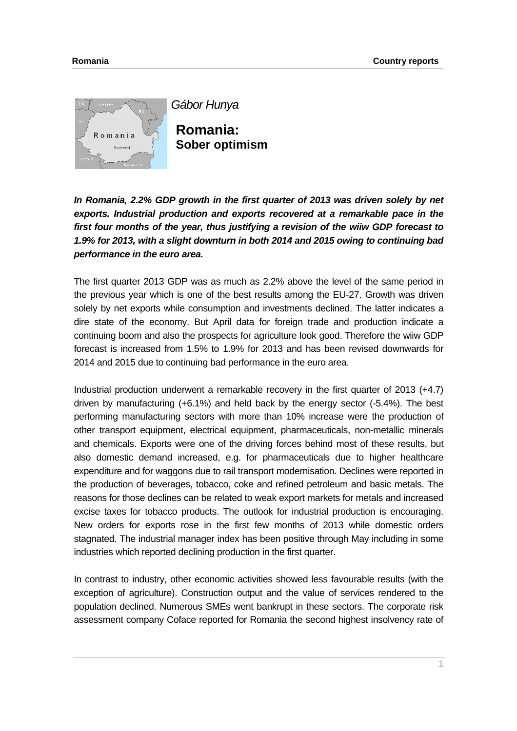

*Gábor Hunya*

**Romania: Sober optimism** 

*In Romania, 2.2% GDP growth in the first quarter of 2013 was driven solely by net exports. Industrial production and exports recovered at a remarkable pace in the first four months of the year, thus justifying a revision of the wiiw GDP forecast to 1.9% for 2013, with a slight downturn in both 2014 and 2015 owing to continuing bad performance in the euro area.* 

The first quarter 2013 GDP was as much as 2.2% above the level of the same period in the previous year which is one of the best results among the EU-27. Growth was driven solely by net exports while consumption and investments declined. The latter indicates a dire state of the economy. But April data for foreign trade and production indicate a continuing boom and also the prospects for agriculture look good. Therefore the wiiw GDP forecast is increased from 1.5% to 1.9% for 2013 and has been revised downwards for 2014 and 2015 due to continuing bad performance in the euro area.

Industrial production underwent a remarkable recovery in the first quarter of 2013 (+4.7) driven by manufacturing (+6.1%) and held back by the energy sector (-5.4%). The best performing manufacturing sectors with more than 10% increase were the production of other transport equipment, electrical equipment, pharmaceuticals, non-metallic minerals and chemicals. Exports were one of the driving forces behind most of these results, but also domestic demand increased, e.g. for pharmaceuticals due to higher healthcare expenditure and for waggons due to rail transport modernisation. Declines were reported in the production of beverages, tobacco, coke and refined petroleum and basic metals. The reasons for those declines can be related to weak export markets for metals and increased excise taxes for tobacco products. The outlook for industrial production is encouraging. New orders for exports rose in the first few months of 2013 while domestic orders stagnated. The industrial manager index has been positive through May including in some industries which reported declining production in the first quarter.

In contrast to industry, other economic activities showed less favourable results (with the exception of agriculture). Construction output and the value of services rendered to the population declined. Numerous SMEs went bankrupt in these sectors. The corporate risk assessment company Coface reported for Romania the second highest insolvency rate of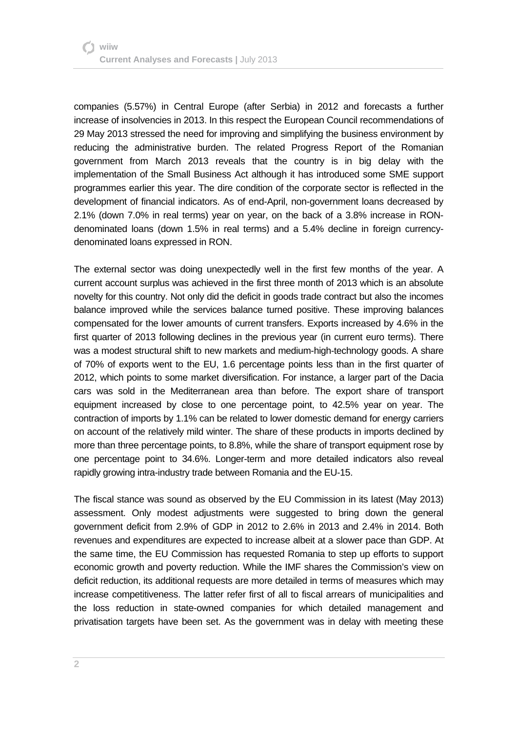companies (5.57%) in Central Europe (after Serbia) in 2012 and forecasts a further increase of insolvencies in 2013. In this respect the European Council recommendations of 29 May 2013 stressed the need for improving and simplifying the business environment by reducing the administrative burden. The related Progress Report of the Romanian government from March 2013 reveals that the country is in big delay with the implementation of the Small Business Act although it has introduced some SME support programmes earlier this year. The dire condition of the corporate sector is reflected in the development of financial indicators. As of end-April, non-government loans decreased by 2.1% (down 7.0% in real terms) year on year, on the back of a 3.8% increase in RONdenominated loans (down 1.5% in real terms) and a 5.4% decline in foreign currencydenominated loans expressed in RON.

The external sector was doing unexpectedly well in the first few months of the year. A current account surplus was achieved in the first three month of 2013 which is an absolute novelty for this country. Not only did the deficit in goods trade contract but also the incomes balance improved while the services balance turned positive. These improving balances compensated for the lower amounts of current transfers. Exports increased by 4.6% in the first quarter of 2013 following declines in the previous year (in current euro terms). There was a modest structural shift to new markets and medium-high-technology goods. A share of 70% of exports went to the EU, 1.6 percentage points less than in the first quarter of 2012, which points to some market diversification. For instance, a larger part of the Dacia cars was sold in the Mediterranean area than before. The export share of transport equipment increased by close to one percentage point, to 42.5% year on year. The contraction of imports by 1.1% can be related to lower domestic demand for energy carriers on account of the relatively mild winter. The share of these products in imports declined by more than three percentage points, to 8.8%, while the share of transport equipment rose by one percentage point to 34.6%. Longer-term and more detailed indicators also reveal rapidly growing intra-industry trade between Romania and the EU-15.

The fiscal stance was sound as observed by the EU Commission in its latest (May 2013) assessment. Only modest adjustments were suggested to bring down the general government deficit from 2.9% of GDP in 2012 to 2.6% in 2013 and 2.4% in 2014. Both revenues and expenditures are expected to increase albeit at a slower pace than GDP. At the same time, the EU Commission has requested Romania to step up efforts to support economic growth and poverty reduction. While the IMF shares the Commission's view on deficit reduction, its additional requests are more detailed in terms of measures which may increase competitiveness. The latter refer first of all to fiscal arrears of municipalities and the loss reduction in state-owned companies for which detailed management and privatisation targets have been set. As the government was in delay with meeting these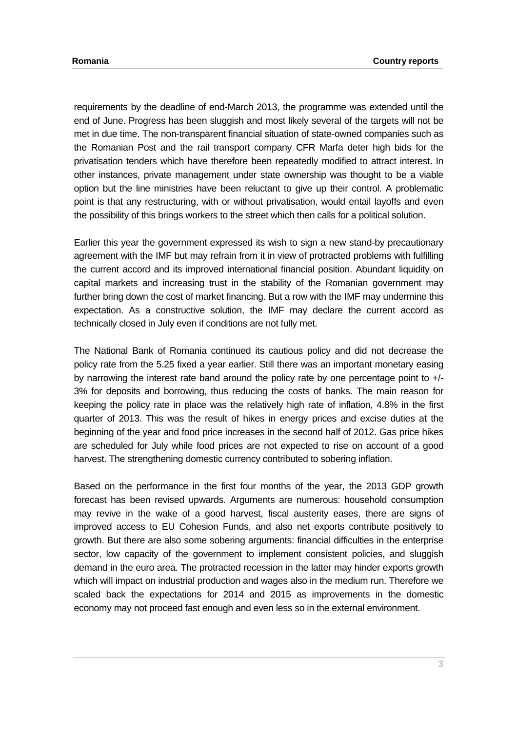requirements by the deadline of end-March 2013, the programme was extended until the end of June. Progress has been sluggish and most likely several of the targets will not be met in due time. The non-transparent financial situation of state-owned companies such as the Romanian Post and the rail transport company CFR Marfa deter high bids for the privatisation tenders which have therefore been repeatedly modified to attract interest. In other instances, private management under state ownership was thought to be a viable option but the line ministries have been reluctant to give up their control. A problematic point is that any restructuring, with or without privatisation, would entail layoffs and even the possibility of this brings workers to the street which then calls for a political solution.

Earlier this year the government expressed its wish to sign a new stand-by precautionary agreement with the IMF but may refrain from it in view of protracted problems with fulfilling the current accord and its improved international financial position. Abundant liquidity on capital markets and increasing trust in the stability of the Romanian government may further bring down the cost of market financing. But a row with the IMF may undermine this expectation. As a constructive solution, the IMF may declare the current accord as technically closed in July even if conditions are not fully met.

The National Bank of Romania continued its cautious policy and did not decrease the policy rate from the 5.25 fixed a year earlier. Still there was an important monetary easing by narrowing the interest rate band around the policy rate by one percentage point to +/- 3% for deposits and borrowing, thus reducing the costs of banks. The main reason for keeping the policy rate in place was the relatively high rate of inflation, 4.8% in the first quarter of 2013. This was the result of hikes in energy prices and excise duties at the beginning of the year and food price increases in the second half of 2012. Gas price hikes are scheduled for July while food prices are not expected to rise on account of a good harvest. The strengthening domestic currency contributed to sobering inflation.

Based on the performance in the first four months of the year, the 2013 GDP growth forecast has been revised upwards. Arguments are numerous: household consumption may revive in the wake of a good harvest, fiscal austerity eases, there are signs of improved access to EU Cohesion Funds, and also net exports contribute positively to growth. But there are also some sobering arguments: financial difficulties in the enterprise sector, low capacity of the government to implement consistent policies, and sluggish demand in the euro area. The protracted recession in the latter may hinder exports growth which will impact on industrial production and wages also in the medium run. Therefore we scaled back the expectations for 2014 and 2015 as improvements in the domestic economy may not proceed fast enough and even less so in the external environment.